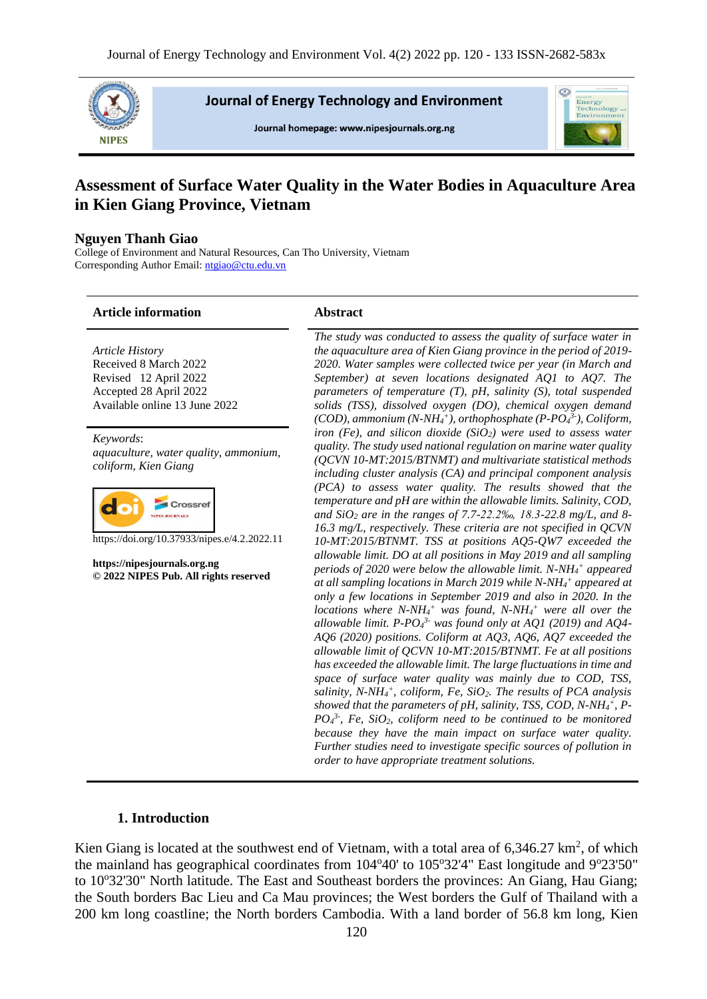

**Journal of Energy Technology and Environment** 

Journal homepage: www.nipesjournals.org.ng



# **Assessment of Surface Water Quality in the Water Bodies in Aquaculture Area in Kien Giang Province, Vietnam**

## **Nguyen Thanh Giao**

College of Environment and Natural Resources, Can Tho University, Vietnam Corresponding Author Email[: ntgiao@ctu.edu.vn](mailto:ntgiao@ctu.edu.vn)

#### **Article information Abstract**

*Article History* Received 8 March 2022 Revised 12 April 2022 Accepted 28 April 2022 Available online 13 June 2022

*Keywords*: *aquaculture, water quality, ammonium, coliform, Kien Giang*



https://doi.org/10.37933/nipes.e/4.2.2022.11

**https://nipesjournals.org.ng © 2022 NIPES Pub. All rights reserved**

*The study was conducted to assess the quality of surface water in the aquaculture area of Kien Giang province in the period of 2019- 2020. Water samples were collected twice per year (in March and September) at seven locations designated AQ1 to AQ7. The parameters of temperature (T), pH, salinity (S), total suspended solids (TSS), dissolved oxygen (DO), chemical oxygen demand (COD), ammonium (N-NH<sup>4</sup> + ), orthophosphate (P-PO<sup>4</sup> 3- ), Coliform, iron (Fe), and silicon dioxide (SiO2) were used to assess water quality. The study used national regulation on marine water quality (QCVN 10-MT:2015/BTNMT) and multivariate statistical methods including cluster analysis (CA) and principal component analysis (PCA) to assess water quality. The results showed that the temperature and pH are within the allowable limits. Salinity, COD, and SiO<sup>2</sup> are in the ranges of 7.7-22.2‰, 18.3-22.8 mg/L, and 8- 16.3 mg/L, respectively. These criteria are not specified in QCVN 10-MT:2015/BTNMT. TSS at positions AQ5-QW7 exceeded the allowable limit. DO at all positions in May 2019 and all sampling periods of 2020 were below the allowable limit. N-NH<sup>4</sup> <sup>+</sup> appeared at all sampling locations in March 2019 while N-NH<sup>4</sup> <sup>+</sup> appeared at only a few locations in September 2019 and also in 2020. In the locations where N-NH<sup>4</sup> <sup>+</sup> was found, N-NH<sup>4</sup> <sup>+</sup> were all over the allowable limit. P-PO<sup>4</sup> 3- was found only at AQ1 (2019) and AQ4- AQ6 (2020) positions. Coliform at AQ3, AQ6, AQ7 exceeded the allowable limit of QCVN 10-MT:2015/BTNMT. Fe at all positions has exceeded the allowable limit. The large fluctuations in time and space of surface water quality was mainly due to COD, TSS, salinity, N-NH<sup>4</sup> + , coliform, Fe, SiO2. The results of PCA analysis showed that the parameters of pH, salinity, TSS, COD, N-NH<sup>4</sup> + , P-* $PO_4^3$ , Fe, SiO<sub>2</sub>, coliform need to be continued to be monitored *because they have the main impact on surface water quality. Further studies need to investigate specific sources of pollution in order to have appropriate treatment solutions.*

# **1. Introduction**

Kien Giang is located at the southwest end of Vietnam, with a total area of  $6,346.27 \text{ km}^2$ , of which the mainland has geographical coordinates from  $104^{\circ}40'$  to  $105^{\circ}32'4''$  East longitude and  $9^{\circ}23'50''$ to 10°32'30" North latitude. The East and Southeast borders the provinces: An Giang, Hau Giang; the South borders Bac Lieu and Ca Mau provinces; the West borders the Gulf of Thailand with a 200 km long coastline; the North borders Cambodia. With a land border of 56.8 km long, Kien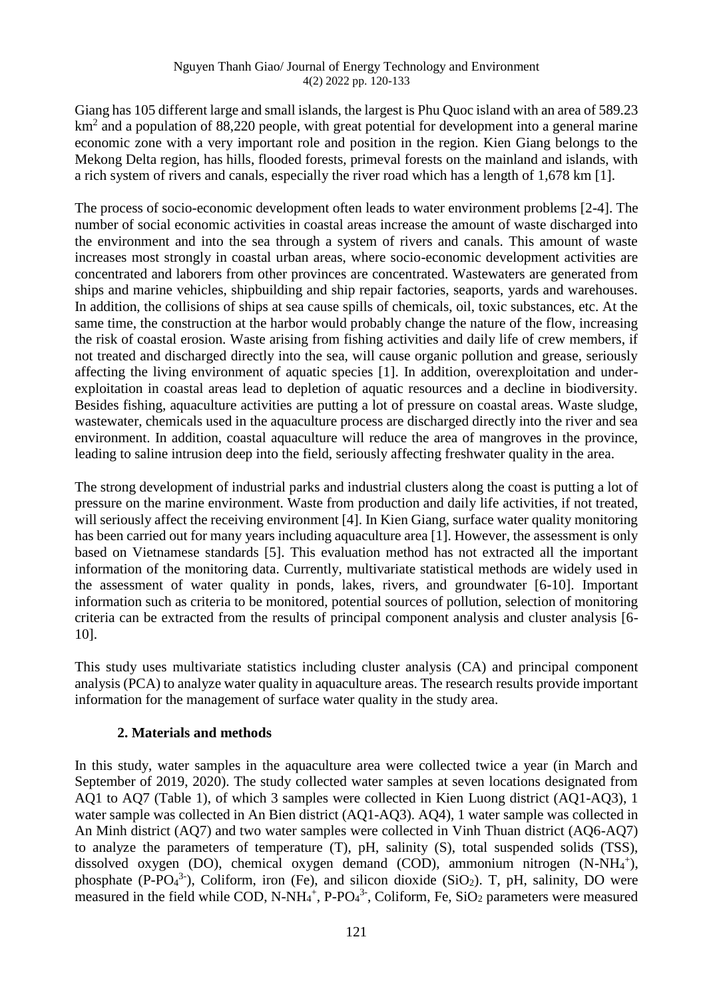Giang has 105 different large and small islands, the largest is Phu Quoc island with an area of 589.23 km<sup>2</sup> and a population of 88,220 people, with great potential for development into a general marine economic zone with a very important role and position in the region. Kien Giang belongs to the Mekong Delta region, has hills, flooded forests, primeval forests on the mainland and islands, with a rich system of rivers and canals, especially the river road which has a length of 1,678 km [1].

The process of socio-economic development often leads to water environment problems [2-4]. The number of social economic activities in coastal areas increase the amount of waste discharged into the environment and into the sea through a system of rivers and canals. This amount of waste increases most strongly in coastal urban areas, where socio-economic development activities are concentrated and laborers from other provinces are concentrated. Wastewaters are generated from ships and marine vehicles, shipbuilding and ship repair factories, seaports, yards and warehouses. In addition, the collisions of ships at sea cause spills of chemicals, oil, toxic substances, etc. At the same time, the construction at the harbor would probably change the nature of the flow, increasing the risk of coastal erosion. Waste arising from fishing activities and daily life of crew members, if not treated and discharged directly into the sea, will cause organic pollution and grease, seriously affecting the living environment of aquatic species [1]. In addition, overexploitation and underexploitation in coastal areas lead to depletion of aquatic resources and a decline in biodiversity. Besides fishing, aquaculture activities are putting a lot of pressure on coastal areas. Waste sludge, wastewater, chemicals used in the aquaculture process are discharged directly into the river and sea environment. In addition, coastal aquaculture will reduce the area of mangroves in the province, leading to saline intrusion deep into the field, seriously affecting freshwater quality in the area.

The strong development of industrial parks and industrial clusters along the coast is putting a lot of pressure on the marine environment. Waste from production and daily life activities, if not treated, will seriously affect the receiving environment [4]. In Kien Giang, surface water quality monitoring has been carried out for many years including aquaculture area [1]. However, the assessment is only based on Vietnamese standards [5]. This evaluation method has not extracted all the important information of the monitoring data. Currently, multivariate statistical methods are widely used in the assessment of water quality in ponds, lakes, rivers, and groundwater [6-10]. Important information such as criteria to be monitored, potential sources of pollution, selection of monitoring criteria can be extracted from the results of principal component analysis and cluster analysis [6- 10].

This study uses multivariate statistics including cluster analysis (CA) and principal component analysis (PCA) to analyze water quality in aquaculture areas. The research results provide important information for the management of surface water quality in the study area.

# **2. Materials and methods**

In this study, water samples in the aquaculture area were collected twice a year (in March and September of 2019, 2020). The study collected water samples at seven locations designated from AQ1 to AQ7 (Table 1), of which 3 samples were collected in Kien Luong district (AQ1-AQ3), 1 water sample was collected in An Bien district (AQ1-AQ3). AQ4), 1 water sample was collected in An Minh district (AQ7) and two water samples were collected in Vinh Thuan district (AQ6-AQ7) to analyze the parameters of temperature (T), pH, salinity (S), total suspended solids (TSS), dissolved oxygen (DO), chemical oxygen demand (COD), ammonium nitrogen (N-NH<sub>4</sub><sup>+</sup>), phosphate (P-PO<sub>4</sub><sup>3-</sup>), Coliform, iron (Fe), and silicon dioxide (SiO<sub>2</sub>). T, pH, salinity, DO were measured in the field while COD, N-NH<sub>4</sub><sup>+</sup>, P-PO<sub>4</sub><sup>3-</sup>, Coliform, Fe, SiO<sub>2</sub> parameters were measured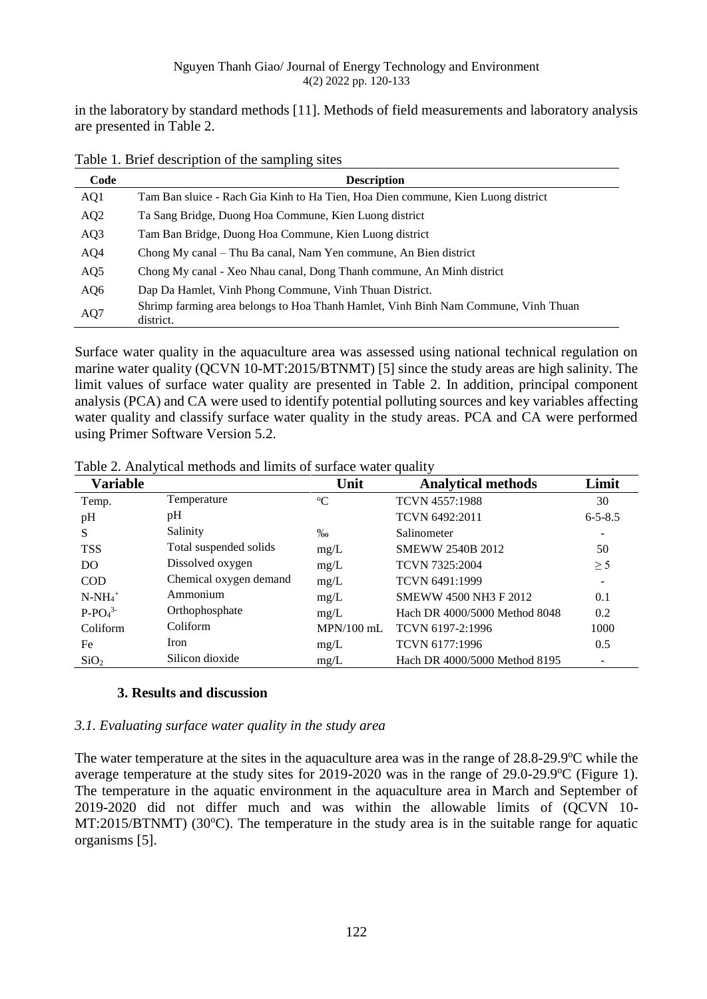in the laboratory by standard methods [11]. Methods of field measurements and laboratory analysis are presented in Table 2.

| Code | <b>Description</b>                                                                              |
|------|-------------------------------------------------------------------------------------------------|
| AQ1  | Tam Ban sluice - Rach Gia Kinh to Ha Tien, Hoa Dien commune, Kien Luong district                |
| AQ2  | Ta Sang Bridge, Duong Hoa Commune, Kien Luong district                                          |
| AQ3  | Tam Ban Bridge, Duong Hoa Commune, Kien Luong district                                          |
| AQ4  | Chong My canal – Thu Ba canal, Nam Yen commune, An Bien district                                |
| AQ5  | Chong My canal - Xeo Nhau canal, Dong Thanh commune, An Minh district                           |
| AQ6  | Dap Da Hamlet, Vinh Phong Commune, Vinh Thuan District.                                         |
| AQ7  | Shrimp farming area belongs to Hoa Thanh Hamlet, Vinh Binh Nam Commune, Vinh Thuan<br>district. |

Table 1. Brief description of the sampling sites

Surface water quality in the aquaculture area was assessed using national technical regulation on marine water quality (QCVN 10-MT:2015/BTNMT) [5] since the study areas are high salinity. The limit values of surface water quality are presented in Table 2. In addition, principal component analysis (PCA) and CA were used to identify potential polluting sources and key variables affecting water quality and classify surface water quality in the study areas. PCA and CA were performed using Primer Software Version 5.2.

| <b>Variable</b>  |                        | Unit              | <b>Analytical methods</b>     | Limit         |
|------------------|------------------------|-------------------|-------------------------------|---------------|
| Temp.            | Temperature            | $\rm ^{o}C$       | TCVN 4557:1988                | 30            |
| pH               | pH                     |                   | TCVN 6492:2011                | $6 - 5 - 8.5$ |
| S                | Salinity               | $\%$ <sub>0</sub> | Salinometer                   |               |
| <b>TSS</b>       | Total suspended solids | mg/L              | <b>SMEWW 2540B 2012</b>       | 50            |
| DO               | Dissolved oxygen       | mg/L              | <b>TCVN 7325:2004</b>         | $\geq$ 5      |
| <b>COD</b>       | Chemical oxygen demand | mg/L              | TCVN 6491:1999                |               |
| $N-NH_4^+$       | Ammonium               | mg/L              | <b>SMEWW 4500 NH3 F 2012</b>  | 0.1           |
| $P-PO43$         | Orthophosphate         | mg/L              | Hach DR 4000/5000 Method 8048 | 0.2           |
| Coliform         | Coliform               | $MPN/100$ mL      | TCVN 6197-2:1996              | 1000          |
| Fe               | Iron                   | mg/L              | TCVN 6177:1996                | 0.5           |
| SiO <sub>2</sub> | Silicon dioxide        | mg/L              | Hach DR 4000/5000 Method 8195 |               |

Table 2. Analytical methods and limits of surface water quality

# **3. Results and discussion**

# *3.1. Evaluating surface water quality in the study area*

The water temperature at the sites in the aquaculture area was in the range of 28.8-29.9°C while the average temperature at the study sites for  $2019-2020$  was in the range of  $29.0-29.9$ °C (Figure 1). The temperature in the aquatic environment in the aquaculture area in March and September of 2019-2020 did not differ much and was within the allowable limits of (QCVN 10-  $MT:2015/BTNMT$ ) (30 $^{\circ}$ C). The temperature in the study area is in the suitable range for aquatic organisms [5].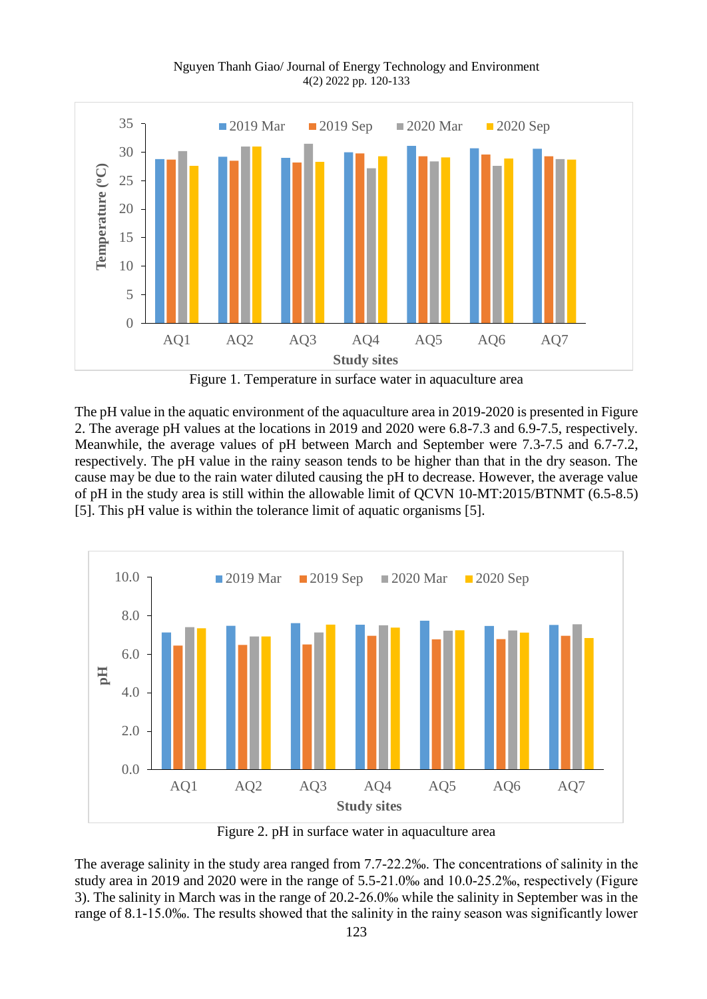

Figure 1. Temperature in surface water in aquaculture area

The pH value in the aquatic environment of the aquaculture area in 2019-2020 is presented in Figure 2. The average pH values at the locations in 2019 and 2020 were 6.8-7.3 and 6.9-7.5, respectively. Meanwhile, the average values of pH between March and September were 7.3-7.5 and 6.7-7.2, respectively. The pH value in the rainy season tends to be higher than that in the dry season. The cause may be due to the rain water diluted causing the pH to decrease. However, the average value of pH in the study area is still within the allowable limit of QCVN 10-MT:2015/BTNMT (6.5-8.5) [5]. This pH value is within the tolerance limit of aquatic organisms [5].



Figure 2. pH in surface water in aquaculture area

The average salinity in the study area ranged from 7.7-22.2‰. The concentrations of salinity in the study area in 2019 and 2020 were in the range of 5.5-21.0‰ and 10.0-25.2‰, respectively (Figure 3). The salinity in March was in the range of 20.2-26.0‰ while the salinity in September was in the range of 8.1-15.0‰. The results showed that the salinity in the rainy season was significantly lower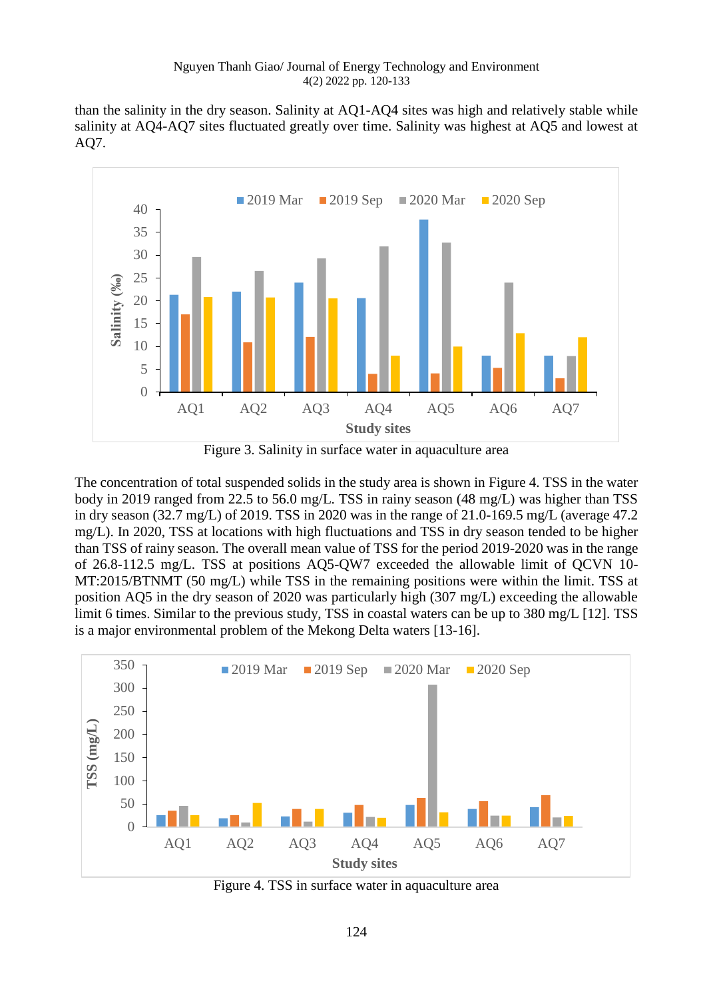than the salinity in the dry season. Salinity at AQ1-AQ4 sites was high and relatively stable while salinity at AQ4-AQ7 sites fluctuated greatly over time. Salinity was highest at AQ5 and lowest at AQ7.



Figure 3. Salinity in surface water in aquaculture area

The concentration of total suspended solids in the study area is shown in Figure 4. TSS in the water body in 2019 ranged from 22.5 to 56.0 mg/L. TSS in rainy season (48 mg/L) was higher than TSS in dry season (32.7 mg/L) of 2019. TSS in 2020 was in the range of 21.0-169.5 mg/L (average 47.2 mg/L). In 2020, TSS at locations with high fluctuations and TSS in dry season tended to be higher than TSS of rainy season. The overall mean value of TSS for the period 2019-2020 was in the range of 26.8-112.5 mg/L. TSS at positions AQ5-QW7 exceeded the allowable limit of QCVN 10- MT:2015/BTNMT (50 mg/L) while TSS in the remaining positions were within the limit. TSS at position AQ5 in the dry season of 2020 was particularly high (307 mg/L) exceeding the allowable limit 6 times. Similar to the previous study, TSS in coastal waters can be up to 380 mg/L [12]. TSS is a major environmental problem of the Mekong Delta waters [13-16].



Figure 4. TSS in surface water in aquaculture area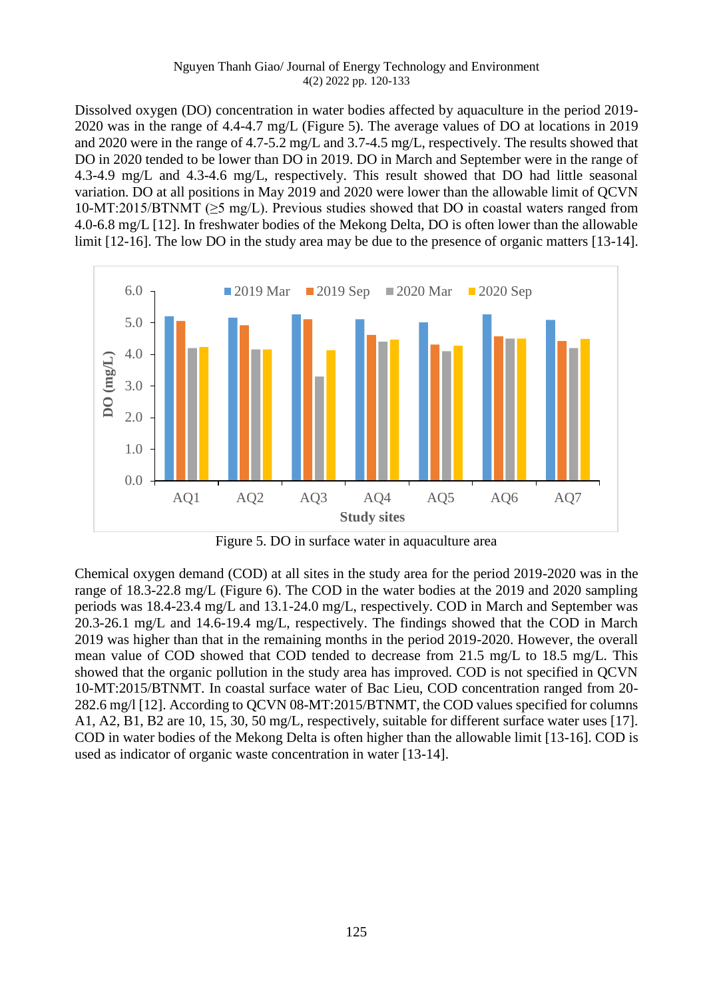Dissolved oxygen (DO) concentration in water bodies affected by aquaculture in the period 2019- 2020 was in the range of 4.4-4.7 mg/L (Figure 5). The average values of DO at locations in 2019 and 2020 were in the range of 4.7-5.2 mg/L and 3.7-4.5 mg/L, respectively. The results showed that DO in 2020 tended to be lower than DO in 2019. DO in March and September were in the range of 4.3-4.9 mg/L and 4.3-4.6 mg/L, respectively. This result showed that DO had little seasonal variation. DO at all positions in May 2019 and 2020 were lower than the allowable limit of QCVN 10-MT:2015/BTNMT ( $\geq$ 5 mg/L). Previous studies showed that DO in coastal waters ranged from 4.0-6.8 mg/L [12]. In freshwater bodies of the Mekong Delta, DO is often lower than the allowable limit [12-16]. The low DO in the study area may be due to the presence of organic matters [13-14].



Figure 5. DO in surface water in aquaculture area

Chemical oxygen demand (COD) at all sites in the study area for the period 2019-2020 was in the range of 18.3-22.8 mg/L (Figure 6). The COD in the water bodies at the 2019 and 2020 sampling periods was 18.4-23.4 mg/L and 13.1-24.0 mg/L, respectively. COD in March and September was 20.3-26.1 mg/L and 14.6-19.4 mg/L, respectively. The findings showed that the COD in March 2019 was higher than that in the remaining months in the period 2019-2020. However, the overall mean value of COD showed that COD tended to decrease from 21.5 mg/L to 18.5 mg/L. This showed that the organic pollution in the study area has improved. COD is not specified in QCVN 10-MT:2015/BTNMT. In coastal surface water of Bac Lieu, COD concentration ranged from 20- 282.6 mg/l [12]. According to QCVN 08-MT:2015/BTNMT, the COD values specified for columns A1, A2, B1, B2 are 10, 15, 30, 50 mg/L, respectively, suitable for different surface water uses [17]. COD in water bodies of the Mekong Delta is often higher than the allowable limit [13-16]. COD is used as indicator of organic waste concentration in water [13-14].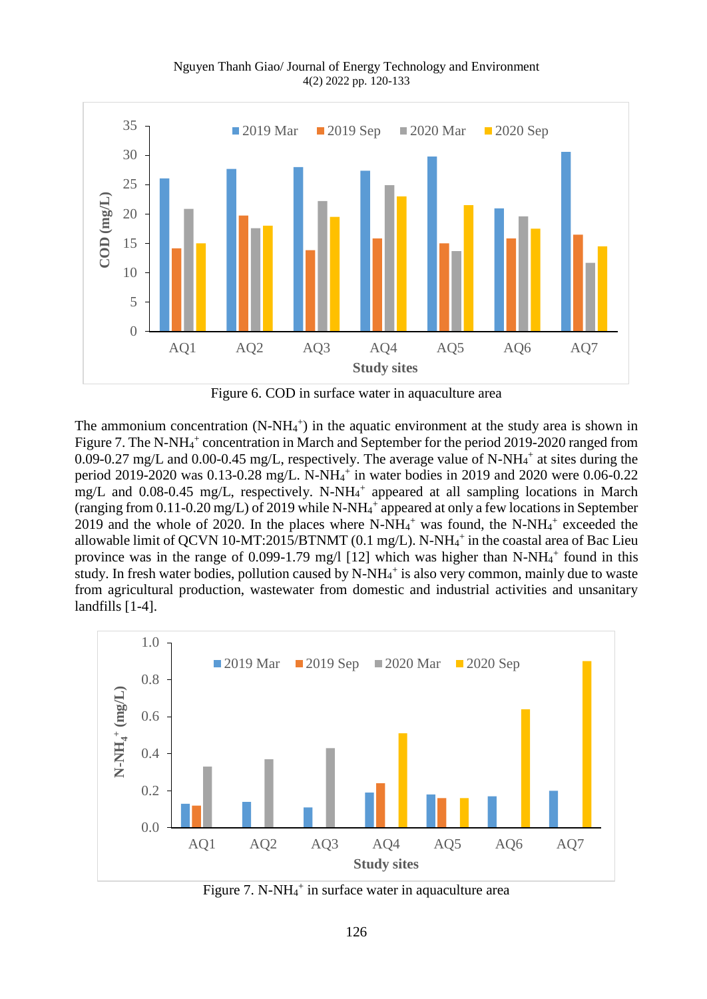

Figure 6. COD in surface water in aquaculture area

The ammonium concentration  $(N-NH<sub>4</sub><sup>+</sup>)$  in the aquatic environment at the study area is shown in Figure 7. The N-NH<sub>4</sub><sup>+</sup> concentration in March and September for the period 2019-2020 ranged from  $0.09 - 0.27$  mg/L and  $0.00 - 0.45$  mg/L, respectively. The average value of N-NH $_4$ <sup>+</sup> at sites during the period 2019-2020 was 0.13-0.28 mg/L. N-NH<sub>4</sub><sup>+</sup> in water bodies in 2019 and 2020 were 0.06-0.22 mg/L and 0.08-0.45 mg/L, respectively. N-NH<sub>4</sub><sup>+</sup> appeared at all sampling locations in March (ranging from 0.11-0.20 mg/L) of 2019 while N-NH<sup>4</sup> + appeared at only a few locations in September 2019 and the whole of 2020. In the places where  $N-NH_4$ <sup>+</sup> was found, the  $N-NH_4$ <sup>+</sup> exceeded the allowable limit of QCVN 10-MT:2015/BTNMT (0.1 mg/L). N-NH $4^+$  in the coastal area of Bac Lieu province was in the range of  $0.099 - 1.79$  mg/l [12] which was higher than N-NH $_4$ <sup>+</sup> found in this study. In fresh water bodies, pollution caused by N-NH<sub>4</sub><sup>+</sup> is also very common, mainly due to waste from agricultural production, wastewater from domestic and industrial activities and unsanitary landfills [1-4].



Figure 7. N-NH<sub>4</sub><sup>+</sup> in surface water in aquaculture area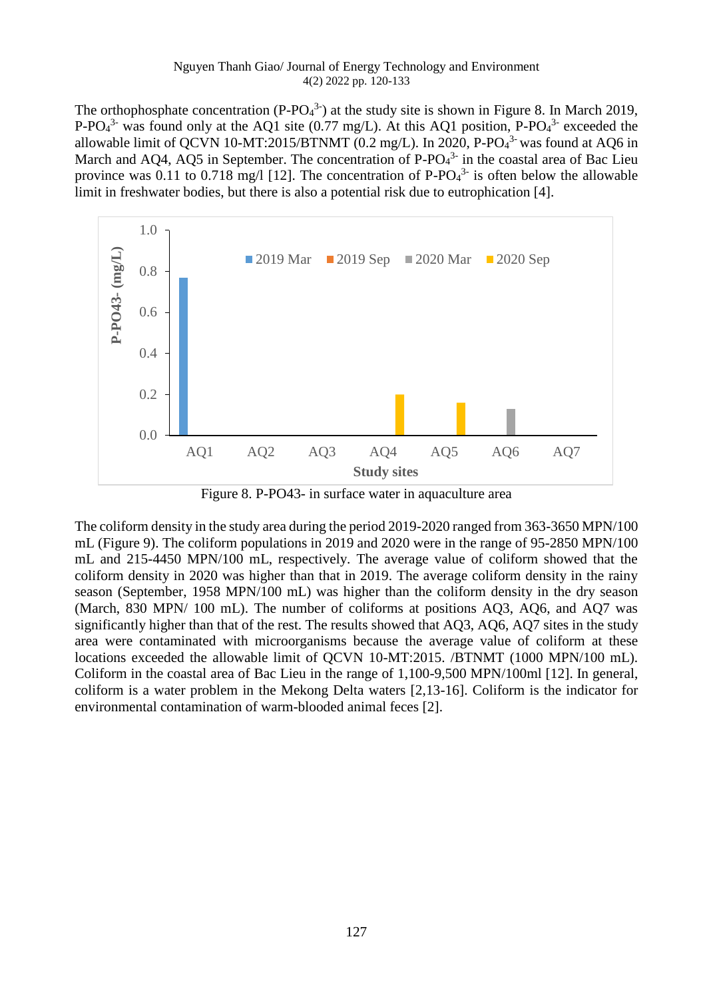The orthophosphate concentration (P-PO $_4^3$ ) at the study site is shown in Figure 8. In March 2019, P-PO $4^3$  was found only at the AQ1 site (0.77 mg/L). At this AQ1 position, P-PO $4^3$  exceeded the allowable limit of QCVN 10-MT:2015/BTNMT (0.2 mg/L). In 2020, P-PO $4<sup>3</sup>$  was found at AQ6 in March and AQ4, AQ5 in September. The concentration of  $P$ - $PO<sub>4</sub><sup>3</sup>$  in the coastal area of Bac Lieu province was 0.11 to 0.718 mg/l [12]. The concentration of P-PO $_4^3$  is often below the allowable limit in freshwater bodies, but there is also a potential risk due to eutrophication [4].



Figure 8. P-PO43- in surface water in aquaculture area

The coliform density in the study area during the period 2019-2020 ranged from 363-3650 MPN/100 mL (Figure 9). The coliform populations in 2019 and 2020 were in the range of 95-2850 MPN/100 mL and 215-4450 MPN/100 mL, respectively. The average value of coliform showed that the coliform density in 2020 was higher than that in 2019. The average coliform density in the rainy season (September, 1958 MPN/100 mL) was higher than the coliform density in the dry season (March, 830 MPN/ 100 mL). The number of coliforms at positions AQ3, AQ6, and AQ7 was significantly higher than that of the rest. The results showed that AQ3, AQ6, AQ7 sites in the study area were contaminated with microorganisms because the average value of coliform at these locations exceeded the allowable limit of QCVN 10-MT:2015. /BTNMT (1000 MPN/100 mL). Coliform in the coastal area of Bac Lieu in the range of 1,100-9,500 MPN/100ml [12]. In general, coliform is a water problem in the Mekong Delta waters [2,13-16]. Coliform is the indicator for environmental contamination of warm-blooded animal feces [2].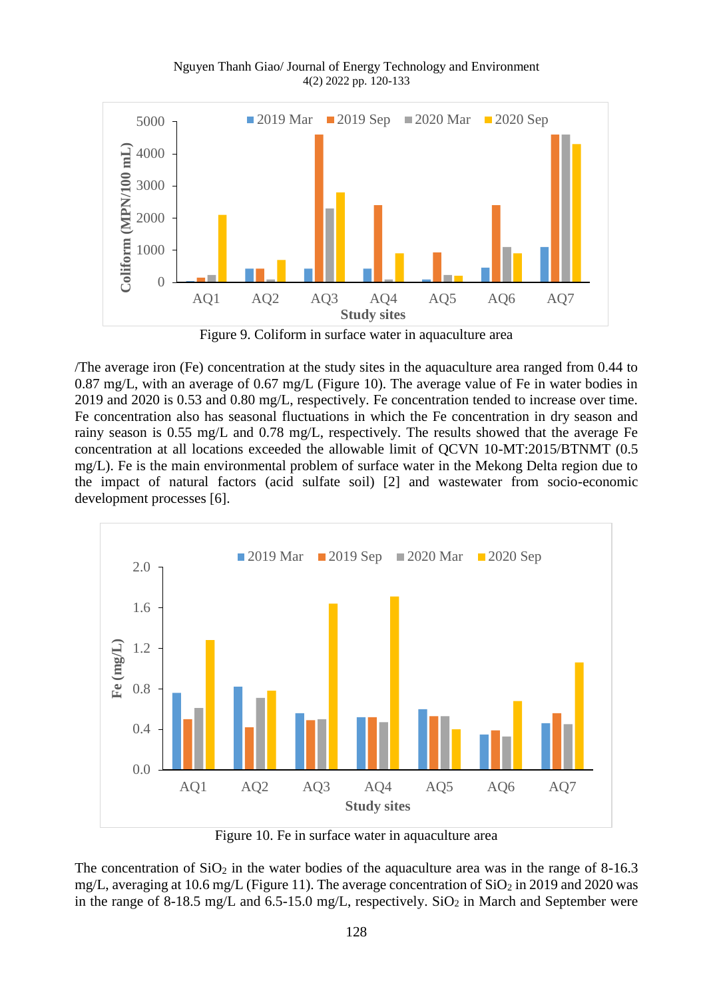

Figure 9. Coliform in surface water in aquaculture area

/The average iron (Fe) concentration at the study sites in the aquaculture area ranged from 0.44 to 0.87 mg/L, with an average of 0.67 mg/L (Figure 10). The average value of Fe in water bodies in 2019 and 2020 is 0.53 and 0.80 mg/L, respectively. Fe concentration tended to increase over time. Fe concentration also has seasonal fluctuations in which the Fe concentration in dry season and rainy season is 0.55 mg/L and 0.78 mg/L, respectively. The results showed that the average Fe concentration at all locations exceeded the allowable limit of QCVN 10-MT:2015/BTNMT (0.5 mg/L). Fe is the main environmental problem of surface water in the Mekong Delta region due to the impact of natural factors (acid sulfate soil) [2] and wastewater from socio-economic development processes [6].



Figure 10. Fe in surface water in aquaculture area

The concentration of  $SiO<sub>2</sub>$  in the water bodies of the aquaculture area was in the range of 8-16.3 mg/L, averaging at 10.6 mg/L (Figure 11). The average concentration of  $SiO<sub>2</sub>$  in 2019 and 2020 was in the range of 8-18.5 mg/L and 6.5-15.0 mg/L, respectively.  $SiO<sub>2</sub>$  in March and September were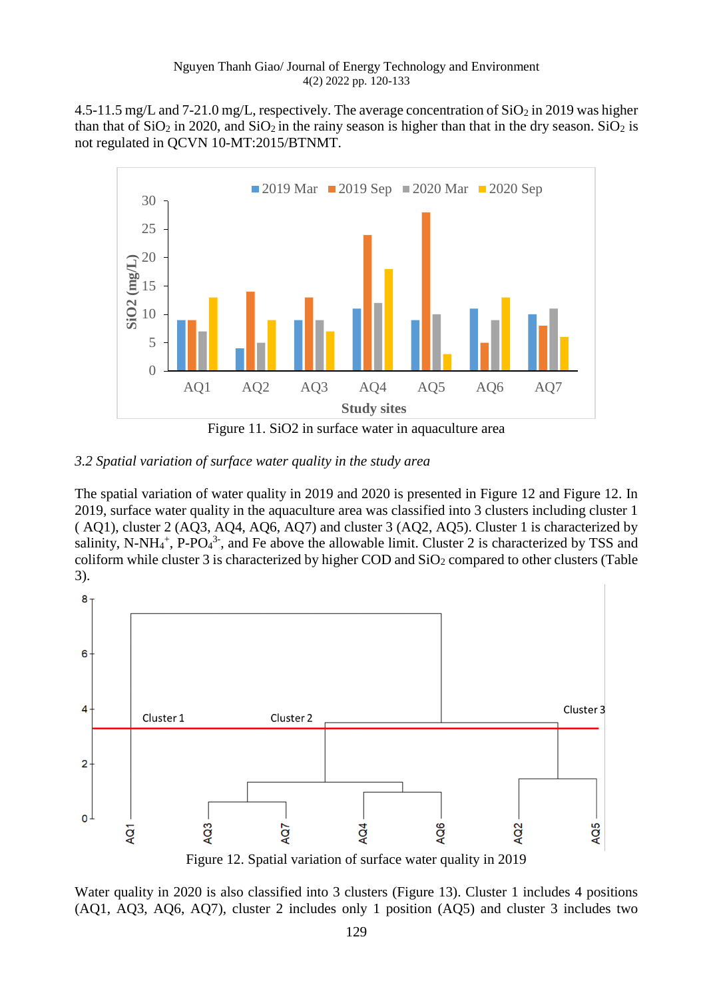4.5-11.5 mg/L and 7-21.0 mg/L, respectively. The average concentration of  $SiO<sub>2</sub>$  in 2019 was higher than that of  $SiO_2$  in 2020, and  $SiO_2$  in the rainy season is higher than that in the dry season.  $SiO_2$  is not regulated in QCVN 10-MT:2015/BTNMT.



Figure 11. SiO2 in surface water in aquaculture area

# *3.2 Spatial variation of surface water quality in the study area*

The spatial variation of water quality in 2019 and 2020 is presented in Figure 12 and Figure 12. In 2019, surface water quality in the aquaculture area was classified into 3 clusters including cluster 1 ( AQ1), cluster 2 (AQ3, AQ4, AQ6, AQ7) and cluster 3 (AQ2, AQ5). Cluster 1 is characterized by salinity, N-NH<sub>4</sub><sup>+</sup>, P-PO<sub>4</sub><sup>3-</sup>, and Fe above the allowable limit. Cluster 2 is characterized by TSS and coliform while cluster 3 is characterized by higher COD and  $SiO<sub>2</sub>$  compared to other clusters (Table 3).



Figure 12. Spatial variation of surface water quality in 2019

Water quality in 2020 is also classified into 3 clusters (Figure 13). Cluster 1 includes 4 positions (AQ1, AQ3, AQ6, AQ7), cluster 2 includes only 1 position (AQ5) and cluster 3 includes two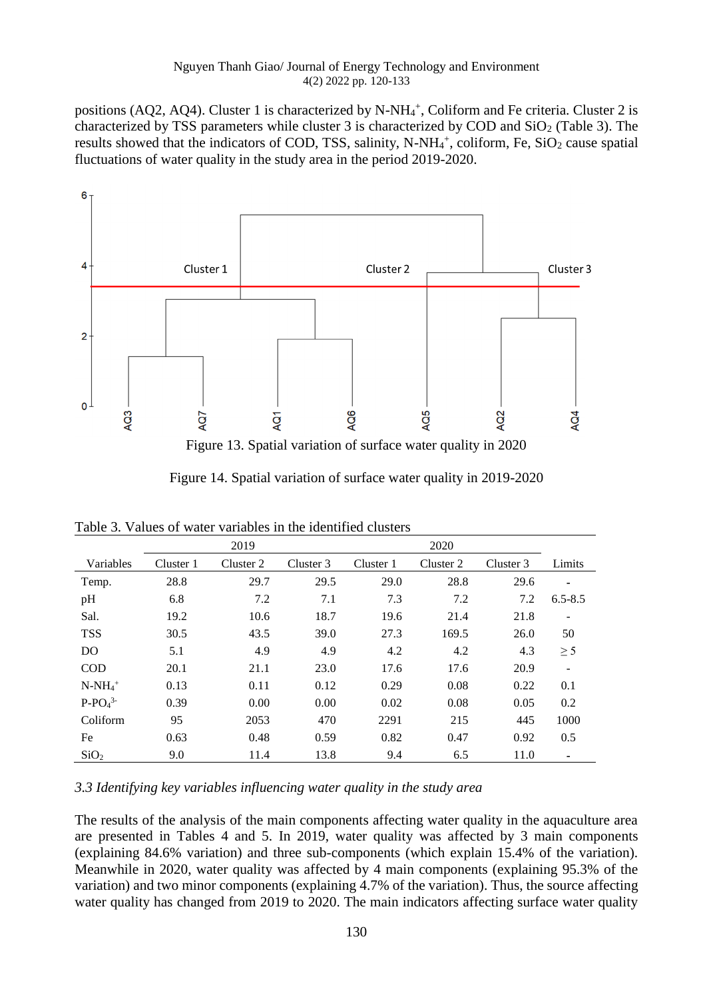positions (AQ2, AQ4). Cluster 1 is characterized by N-NH<sub>4</sub><sup>+</sup>, Coliform and Fe criteria. Cluster 2 is characterized by TSS parameters while cluster 3 is characterized by COD and  $SiO<sub>2</sub>$  (Table 3). The results showed that the indicators of COD, TSS, salinity, N-NH<sub>4</sub><sup>+</sup>, coliform, Fe, SiO<sub>2</sub> cause spatial fluctuations of water quality in the study area in the period 2019-2020.



Figure 14. Spatial variation of surface water quality in 2019-2020

|                  | 2019      |           |           |           |           |           |             |
|------------------|-----------|-----------|-----------|-----------|-----------|-----------|-------------|
| Variables        | Cluster 1 | Cluster 2 | Cluster 3 | Cluster 1 | Cluster 2 | Cluster 3 | Limits      |
| Temp.            | 28.8      | 29.7      | 29.5      | 29.0      | 28.8      | 29.6      |             |
| pH               | 6.8       | 7.2       | 7.1       | 7.3       | 7.2       | 7.2       | $6.5 - 8.5$ |
| Sal.             | 19.2      | 10.6      | 18.7      | 19.6      | 21.4      | 21.8      |             |
| <b>TSS</b>       | 30.5      | 43.5      | 39.0      | 27.3      | 169.5     | 26.0      | 50          |
| D <sub>O</sub>   | 5.1       | 4.9       | 4.9       | 4.2       | 4.2       | 4.3       | $\geq$ 5    |
| <b>COD</b>       | 20.1      | 21.1      | 23.0      | 17.6      | 17.6      | 20.9      |             |
| $N-NH_4^+$       | 0.13      | 0.11      | 0.12      | 0.29      | 0.08      | 0.22      | 0.1         |
| $P-PO43$         | 0.39      | 0.00      | 0.00      | 0.02      | 0.08      | 0.05      | 0.2         |
| Coliform         | 95        | 2053      | 470       | 2291      | 215       | 445       | 1000        |
| Fe               | 0.63      | 0.48      | 0.59      | 0.82      | 0.47      | 0.92      | 0.5         |
| SiO <sub>2</sub> | 9.0       | 11.4      | 13.8      | 9.4       | 6.5       | 11.0      | ۰           |

Table 3. Values of water variables in the identified clusters

*3.3 Identifying key variables influencing water quality in the study area*

The results of the analysis of the main components affecting water quality in the aquaculture area are presented in Tables 4 and 5. In 2019, water quality was affected by 3 main components (explaining 84.6% variation) and three sub-components (which explain 15.4% of the variation). Meanwhile in 2020, water quality was affected by 4 main components (explaining 95.3% of the variation) and two minor components (explaining 4.7% of the variation). Thus, the source affecting water quality has changed from 2019 to 2020. The main indicators affecting surface water quality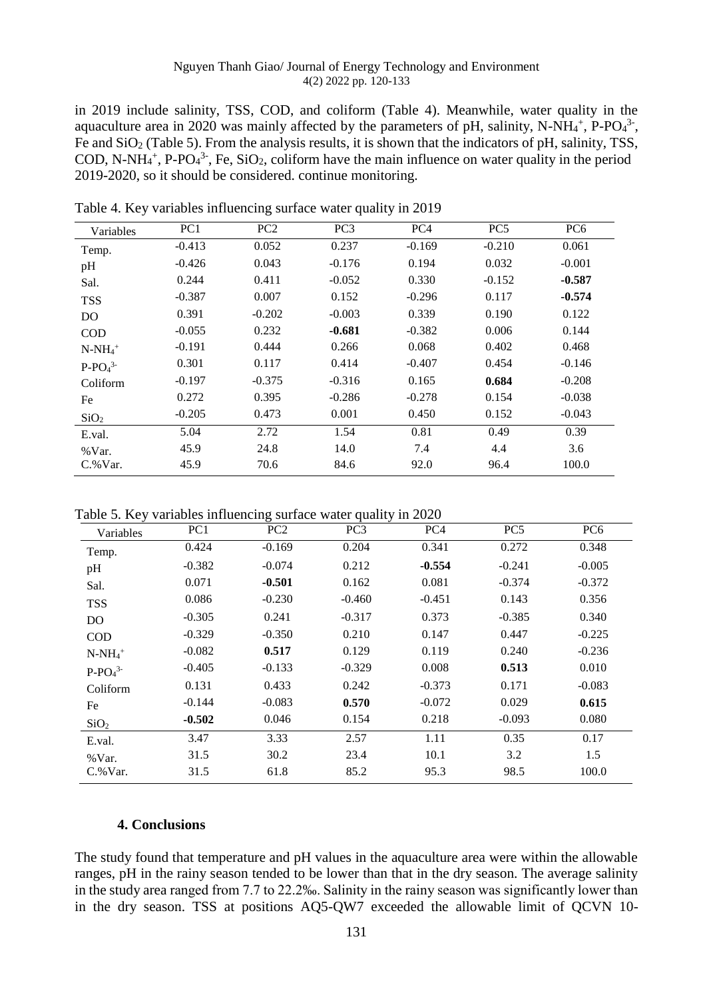in 2019 include salinity, TSS, COD, and coliform (Table 4). Meanwhile, water quality in the aquaculture area in 2020 was mainly affected by the parameters of pH, salinity, N-NH $_4^+$ , P-PO $_4^3$ -, Fe and SiO<sub>2</sub> (Table 5). From the analysis results, it is shown that the indicators of pH, salinity, TSS, COD, N-NH<sub>4</sub><sup>+</sup>, P-PO<sub>4</sub><sup>3-</sup>, Fe, SiO<sub>2</sub>, coliform have the main influence on water quality in the period 2019-2020, so it should be considered. continue monitoring.

| Variables        | PC1      | PC <sub>2</sub> | PC <sub>3</sub> | PC <sub>4</sub> | PC <sub>5</sub> | PC <sub>6</sub> |
|------------------|----------|-----------------|-----------------|-----------------|-----------------|-----------------|
| Temp.            | $-0.413$ | 0.052           | 0.237           | $-0.169$        | $-0.210$        | 0.061           |
| pH               | $-0.426$ | 0.043           | $-0.176$        | 0.194           | 0.032           | $-0.001$        |
| Sal.             | 0.244    | 0.411           | $-0.052$        | 0.330           | $-0.152$        | $-0.587$        |
| <b>TSS</b>       | $-0.387$ | 0.007           | 0.152           | $-0.296$        | 0.117           | $-0.574$        |
| DO               | 0.391    | $-0.202$        | $-0.003$        | 0.339           | 0.190           | 0.122           |
| <b>COD</b>       | $-0.055$ | 0.232           | $-0.681$        | $-0.382$        | 0.006           | 0.144           |
| $N-NH_4^+$       | $-0.191$ | 0.444           | 0.266           | 0.068           | 0.402           | 0.468           |
| $P-PO43$         | 0.301    | 0.117           | 0.414           | $-0.407$        | 0.454           | $-0.146$        |
| Coliform         | $-0.197$ | $-0.375$        | $-0.316$        | 0.165           | 0.684           | $-0.208$        |
| Fe               | 0.272    | 0.395           | $-0.286$        | $-0.278$        | 0.154           | $-0.038$        |
| SiO <sub>2</sub> | $-0.205$ | 0.473           | 0.001           | 0.450           | 0.152           | $-0.043$        |
| E.val.           | 5.04     | 2.72            | 1.54            | 0.81            | 0.49            | 0.39            |
| %Var.            | 45.9     | 24.8            | 14.0            | 7.4             | 4.4             | 3.6             |
| $C.$ % Var.      | 45.9     | 70.6            | 84.6            | 92.0            | 96.4            | 100.0           |

Table 4. Key variables influencing surface water quality in 2019

Table 5. Key variables influencing surface water quality in 2020

| Variables                 | PC1      | PC <sub>2</sub> | PC <sub>3</sub> | PC4      | PC <sub>5</sub> | PC <sub>6</sub> |
|---------------------------|----------|-----------------|-----------------|----------|-----------------|-----------------|
| Temp.                     | 0.424    | $-0.169$        | 0.204           | 0.341    | 0.272           | 0.348           |
| pH                        | $-0.382$ | $-0.074$        | 0.212           | $-0.554$ | $-0.241$        | $-0.005$        |
| Sal.                      | 0.071    | $-0.501$        | 0.162           | 0.081    | $-0.374$        | $-0.372$        |
| <b>TSS</b>                | 0.086    | $-0.230$        | $-0.460$        | $-0.451$ | 0.143           | 0.356           |
| DO                        | $-0.305$ | 0.241           | $-0.317$        | 0.373    | $-0.385$        | 0.340           |
| COD                       | $-0.329$ | $-0.350$        | 0.210           | 0.147    | 0.447           | $-0.225$        |
| $N-NH_4^+$                | $-0.082$ | 0.517           | 0.129           | 0.119    | 0.240           | $-0.236$        |
| $P$ - $PO4$ <sup>3-</sup> | $-0.405$ | $-0.133$        | $-0.329$        | 0.008    | 0.513           | 0.010           |
| Coliform                  | 0.131    | 0.433           | 0.242           | $-0.373$ | 0.171           | $-0.083$        |
| Fe                        | $-0.144$ | $-0.083$        | 0.570           | $-0.072$ | 0.029           | 0.615           |
| SiO <sub>2</sub>          | $-0.502$ | 0.046           | 0.154           | 0.218    | $-0.093$        | 0.080           |
| E.val.                    | 3.47     | 3.33            | 2.57            | 1.11     | 0.35            | 0.17            |
| % Var.                    | 31.5     | 30.2            | 23.4            | 10.1     | 3.2             | 1.5             |
| $C$ .% Var.               | 31.5     | 61.8            | 85.2            | 95.3     | 98.5            | 100.0           |

## **4. Conclusions**

The study found that temperature and pH values in the aquaculture area were within the allowable ranges, pH in the rainy season tended to be lower than that in the dry season. The average salinity in the study area ranged from 7.7 to 22.2‰. Salinity in the rainy season was significantly lower than in the dry season. TSS at positions AQ5-QW7 exceeded the allowable limit of QCVN 10-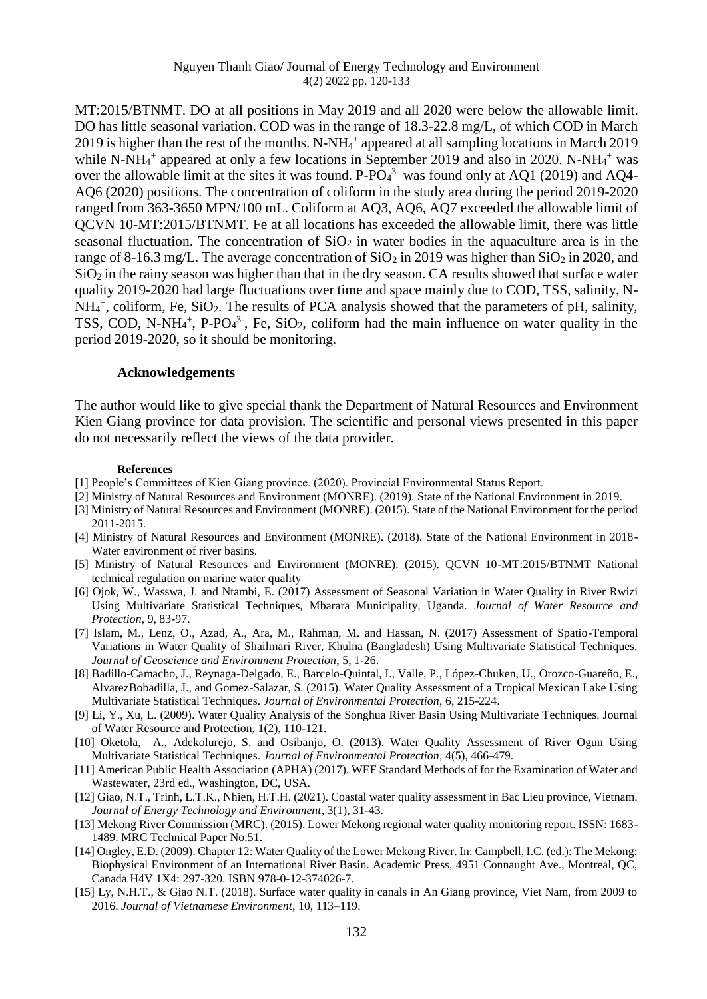MT:2015/BTNMT. DO at all positions in May 2019 and all 2020 were below the allowable limit. DO has little seasonal variation. COD was in the range of 18.3-22.8 mg/L, of which COD in March 2019 is higher than the rest of the months. N-NH<sub>4</sub><sup>+</sup> appeared at all sampling locations in March 2019 while N-NH $_4$ <sup>+</sup> appeared at only a few locations in September 2019 and also in 2020. N-NH $_4$ <sup>+</sup> was over the allowable limit at the sites it was found.  $P$ - $PO<sub>4</sub><sup>3</sup>$  was found only at AQ1 (2019) and AQ4-AQ6 (2020) positions. The concentration of coliform in the study area during the period 2019-2020 ranged from 363-3650 MPN/100 mL. Coliform at AQ3, AQ6, AQ7 exceeded the allowable limit of QCVN 10-MT:2015/BTNMT. Fe at all locations has exceeded the allowable limit, there was little seasonal fluctuation. The concentration of  $SiO<sub>2</sub>$  in water bodies in the aquaculture area is in the range of 8-16.3 mg/L. The average concentration of  $SiO_2$  in 2019 was higher than  $SiO_2$  in 2020, and  $SiO<sub>2</sub>$  in the rainy season was higher than that in the dry season. CA results showed that surface water quality 2019-2020 had large fluctuations over time and space mainly due to COD, TSS, salinity, N-NH<sub>4</sub><sup>+</sup>, coliform, Fe, SiO<sub>2</sub>. The results of PCA analysis showed that the parameters of pH, salinity, TSS, COD, N-NH $_4$ <sup>+</sup>, P-PO $_4$ <sup>3-</sup>, Fe, SiO<sub>2</sub>, coliform had the main influence on water quality in the period 2019-2020, so it should be monitoring.

## **Acknowledgements**

The author would like to give special thank the Department of Natural Resources and Environment Kien Giang province for data provision. The scientific and personal views presented in this paper do not necessarily reflect the views of the data provider.

#### **References**

- [1] People's Committees of Kien Giang province. (2020). Provincial Environmental Status Report.
- [2] Ministry of Natural Resources and Environment (MONRE). (2019). State of the National Environment in 2019.
- [3] Ministry of Natural Resources and Environment (MONRE). (2015). State of the National Environment for the period 2011-2015.
- [4] Ministry of Natural Resources and Environment (MONRE). (2018). State of the National Environment in 2018- Water environment of river basins.
- [5] Ministry of Natural Resources and Environment (MONRE). (2015). QCVN 10-MT:2015/BTNMT National technical regulation on marine water quality
- [6] Ojok, W., Wasswa, J. and Ntambi, E. (2017) Assessment of Seasonal Variation in Water Quality in River Rwizi Using Multivariate Statistical Techniques, Mbarara Municipality, Uganda. *Journal of Water Resource and Protection*, 9, 83-97.
- [7] Islam, M., Lenz, O., Azad, A., Ara, M., Rahman, M. and Hassan, N. (2017) Assessment of Spatio-Temporal Variations in Water Quality of Shailmari River, Khulna (Bangladesh) Using Multivariate Statistical Techniques. *Journal of Geoscience and Environment Protection*, 5, 1-26.
- [8] Badillo-Camacho, J., Reynaga-Delgado, E., Barcelo-Quintal, I., Valle, P., López-Chuken, U., Orozco-Guareño, E., AlvarezBobadilla, J., and Gomez-Salazar, S. (2015). Water Quality Assessment of a Tropical Mexican Lake Using Multivariate Statistical Techniques. *Journal of Environmental Protection*, 6, 215-224.
- [9] Li, Y., Xu, L. (2009). Water Quality Analysis of the Songhua River Basin Using Multivariate Techniques. Journal of Water Resource and Protection, 1(2), 110-121.
- [10] Oketola, A., Adekolurejo, S. and Osibanjo, O. (2013). Water Quality Assessment of River Ogun Using Multivariate Statistical Techniques. *Journal of Environmental Protection*, 4(5), 466-479.
- [11] American Public Health Association (APHA) (2017). WEF Standard Methods of for the Examination of Water and Wastewater, 23rd ed., Washington, DC, USA.
- [12] Giao, N.T., Trinh, L.T.K., Nhien, H.T.H. (2021). Coastal water quality assessment in Bac Lieu province, Vietnam. *Journal of Energy Technology and Environment*, 3(1), 31-43.
- [13] Mekong River Commission (MRC). (2015). Lower Mekong regional water quality monitoring report. ISSN: 1683- 1489. MRC Technical Paper No.51.
- [14] Ongley, E.D. (2009). Chapter 12: Water Quality of the Lower Mekong River. In: Campbell, I.C. (ed.): The Mekong: Biophysical Environment of an International River Basin. Academic Press, 4951 Connaught Ave., Montreal, QC, Canada H4V 1X4: 297-320. ISBN 978-0-12-374026-7.
- [15] Ly, N.H.T., & Giao N.T. (2018). Surface water quality in canals in An Giang province, Viet Nam, from 2009 to 2016. *Journal of Vietnamese Environment*, 10, 113–119.